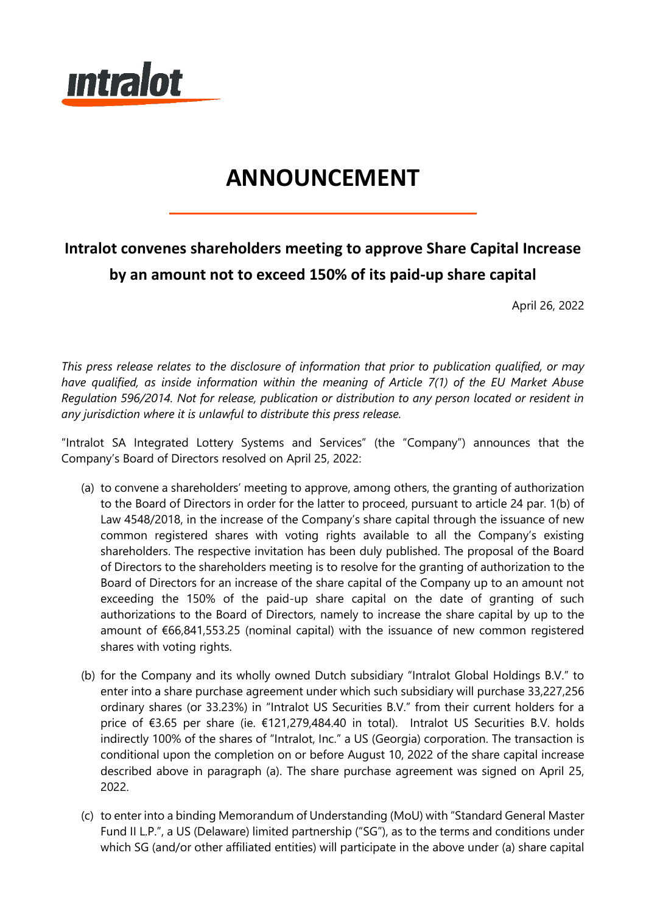

# **ANNOUNCEMENT**

## **Intralot convenes shareholders meeting to approve Share Capital Increase by an amount not to exceed 150% of its paid-up share capital**

April 26, 2022

*This press release relates to the disclosure of information that prior to publication qualified, or may have qualified, as inside information within the meaning of Article 7(1) of the EU Market Abuse Regulation 596/2014. Not for release, publication or distribution to any person located or resident in any jurisdiction where it is unlawful to distribute this press release.*

"Intralot SA Integrated Lottery Systems and Services" (the "Company") announces that the Company's Board of Directors resolved on April 25, 2022:

- (a) to convene a shareholders' meeting to approve, among others, the granting of authorization to the Board of Directors in order for the latter to proceed, pursuant to article 24 par. 1(b) of Law 4548/2018, in the increase of the Company's share capital through the issuance of new common registered shares with voting rights available to all the Company's existing shareholders. The respective invitation has been duly published. The proposal of the Board of Directors to the shareholders meeting is to resolve for the granting of authorization to the Board of Directors for an increase of the share capital of the Company up to an amount not exceeding the 150% of the paid-up share capital on the date of granting of such authorizations to the Board of Directors, namely to increase the share capital by up to the amount of €66,841,553.25 (nominal capital) with the issuance of new common registered shares with voting rights.
- (b) for the Company and its wholly owned Dutch subsidiary "Intralot Global Holdings B.V." to enter into a share purchase agreement under which such subsidiary will purchase 33,227,256 ordinary shares (or 33.23%) in "Intralot US Securities B.V." from their current holders for a price of €3.65 per share (ie. €121,279,484.40 in total). Intralot US Securities B.V. holds indirectly 100% of the shares of "Intralot, Inc." a US (Georgia) corporation. The transaction is conditional upon the completion on or before August 10, 2022 of the share capital increase described above in paragraph (a). The share purchase agreement was signed on April 25, 2022.
- (c) to enter into a binding Memorandum of Understanding (MoU) with "Standard General Master Fund II L.P.", a US (Delaware) limited partnership ("SG"), as to the terms and conditions under which SG (and/or other affiliated entities) will participate in the above under (a) share capital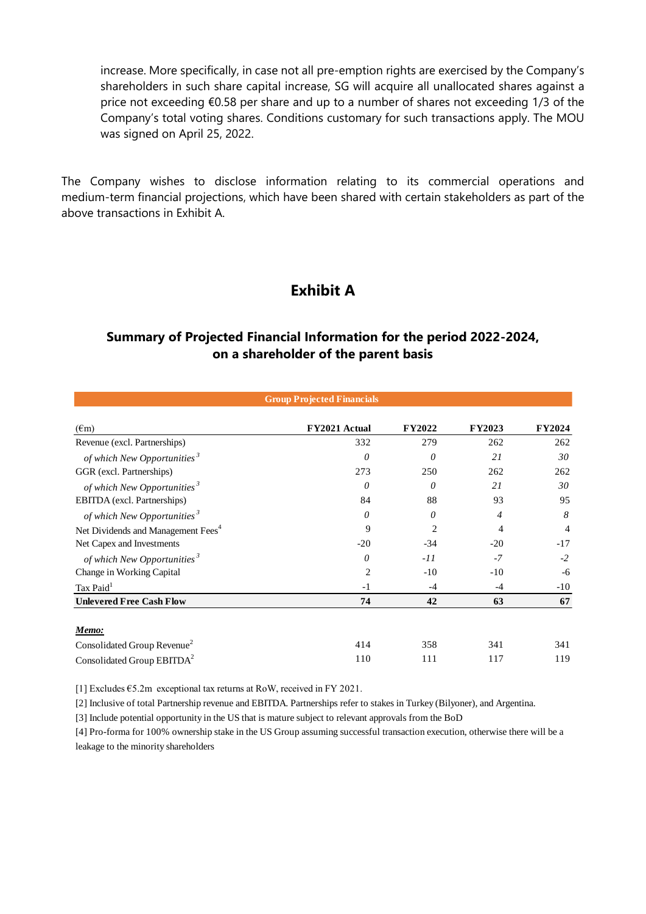increase. More specifically, in case not all pre-emption rights are exercised by the Company's shareholders in such share capital increase, SG will acquire all unallocated shares against a price not exceeding €0.58 per share and up to a number of shares not exceeding 1/3 of the Company's total voting shares. Conditions customary for such transactions apply. The MOU was signed on April 25, 2022.

The Company wishes to disclose information relating to its commercial operations and medium-term financial projections, which have been shared with certain stakeholders as part of the above transactions in Exhibit A.

## **Exhibit A**

### **Summary of Projected Financial Information for the period 2022-2024, on a shareholder of the parent basis**

| <b>Group Projected Financials</b>              |                |                |                |               |  |  |
|------------------------------------------------|----------------|----------------|----------------|---------------|--|--|
| $(\epsilon m)$                                 | FY2021 Actual  | <b>FY2022</b>  | <b>FY2023</b>  | <b>FY2024</b> |  |  |
| Revenue (excl. Partnerships)                   | 332            | 279            | 262            | 262           |  |  |
| of which New Opportunities <sup>3</sup>        | 0              | $\theta$       | 21             | 30            |  |  |
| GGR (excl. Partnerships)                       | 273            | 250            | 262            | 262           |  |  |
| of which New Opportunities <sup>3</sup>        | 0              | $\theta$       | 21             | 30            |  |  |
| EBITDA (excl. Partnerships)                    | 84             | 88             | 93             | 95            |  |  |
| of which New Opportunities <sup>3</sup>        | $\theta$       | 0              | $\overline{4}$ | 8             |  |  |
| Net Dividends and Management Fees <sup>4</sup> | 9              | $\overline{c}$ | 4              | 4             |  |  |
| Net Capex and Investments                      | $-20$          | $-34$          | $-20$          | $-17$         |  |  |
| of which New Opportunities <sup>3</sup>        | $\theta$       | $-II$          | $-7$           | $-2$          |  |  |
| Change in Working Capital                      | $\overline{2}$ | $-10$          | $-10$          | $-6$          |  |  |
| Tax Paid <sup>1</sup>                          | $-1$           | $-4$           | $-4$           | $-10$         |  |  |
| <b>Unlevered Free Cash Flow</b>                | 74             | 42             | 63             | 67            |  |  |
|                                                |                |                |                |               |  |  |
| <u>Memo:</u>                                   |                |                |                |               |  |  |
| Consolidated Group Revenue <sup>2</sup>        | 414            | 358            | 341            | 341           |  |  |
| Consolidated Group EBITDA <sup>2</sup>         | 110            | 111            | 117            | 119           |  |  |

[1] Excludes  $65.2m$  exceptional tax returns at RoW, received in FY 2021.

[2] Inclusive of total Partnership revenue and EBITDA. Partnerships refer to stakes in Turkey (Bilyoner), and Argentina.

[3] Include potential opportunity in the US that is mature subject to relevant approvals from the BoD

[4] Pro-forma for 100% ownership stake in the US Group assuming successful transaction execution, otherwise there will be a leakage to the minority shareholders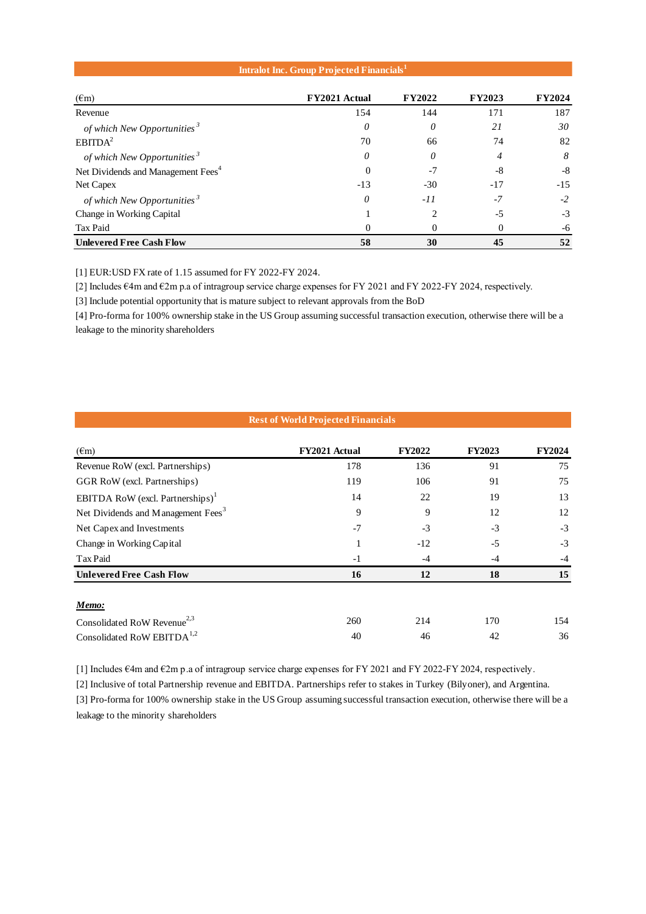#### **Intralot Inc. Group Projected Financials<sup>1</sup>**

| $(\epsilon m)$                                 | FY2021 Actual | <b>FY2022</b> | <b>FY2023</b> | <b>FY2024</b> |
|------------------------------------------------|---------------|---------------|---------------|---------------|
| Revenue                                        | 154           | 144           | 171           | 187           |
| of which New Opportunities <sup>3</sup>        | 0             | 0             | 21            | 30            |
| EBITDA <sup>2</sup>                            | 70            | 66            | 74            | 82            |
| of which New Opportunities <sup>3</sup>        | 0             | 0             | 4             | 8             |
| Net Dividends and Management Fees <sup>4</sup> | 0             | -7            | -8            | -8            |
| Net Capex                                      | $-13$         | $-30$         | $-17$         | $-15$         |
| of which New Opportunities <sup>3</sup>        | 0             | $-11$         | $-7$          | $-2$          |
| Change in Working Capital                      |               | 2             | $-5$          | $-3$          |
| Tax Paid                                       | 0             | 0             | 0             | -6            |
| <b>Unlevered Free Cash Flow</b>                | 58            | 30            | 45            | 52            |

[1] EUR:USD FX rate of 1.15 assumed for FY 2022-FY 2024.

[2] Includes €4m and €2m p.a of intragroup service charge expenses for FY 2021 and FY 2022-FY 2024, respectively.

[3] Include potential opportunity that is mature subject to relevant approvals from the BoD

[4] Pro-forma for 100% ownership stake in the US Group assuming successful transaction execution, otherwise there will be a leakage to the minority shareholders

| <b>Rest of World Projected Financials</b>      |               |               |               |               |  |  |
|------------------------------------------------|---------------|---------------|---------------|---------------|--|--|
| $(\epsilon m)$                                 | FY2021 Actual | <b>FY2022</b> | <b>FY2023</b> | <b>FY2024</b> |  |  |
| Revenue RoW (excl. Partnerships)               | 178           | 136           | 91            | 75            |  |  |
| GGR RoW (excl. Partnerships)                   | 119           | 106           | 91            | 75            |  |  |
| EBITDA RoW (excl. Partnerships) <sup>1</sup>   | 14            | 22            | 19            | 13            |  |  |
| Net Dividends and Management Fees <sup>3</sup> | 9             | 9             | 12            | 12            |  |  |
| Net Capex and Investments                      | $-7$          | $-3$          | $-3$          | $-3$          |  |  |
| Change in Working Capital                      | 1             | $-12$         | $-5$          | $-3$          |  |  |
| Tax Paid                                       | $-1$          | $-4$          | $-4$          | $-4$          |  |  |
| <b>Unlevered Free Cash Flow</b>                | 16            | 12            | 18            | 15            |  |  |
|                                                |               |               |               |               |  |  |
| Memo:                                          |               |               |               |               |  |  |
| Consolidated RoW Revenue <sup>2,3</sup>        | 260           | 214           | 170           | 154           |  |  |
| Consolidated RoW EBITDA <sup>1,2</sup>         | 40            | 46            | 42            | 36            |  |  |

[1] Includes €4m and €2m p.a of intragroup service charge expenses for FY 2021 and FY 2022-FY 2024, respectively.

[2] Inclusive of total Partnership revenue and EBITDA. Partnerships refer to stakes in Turkey (Bilyoner), and Argentina.

[3] Pro-forma for 100% ownership stake in the US Group assuming successful transaction execution, otherwise there will be a leakage to the minority shareholders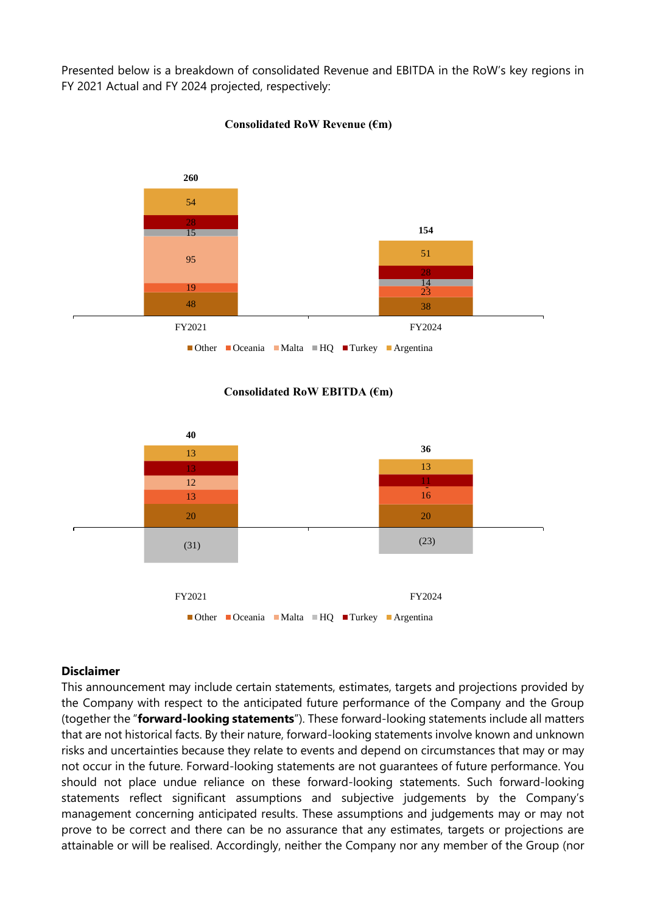Presented below is a breakdown of consolidated Revenue and EBITDA in the RoW's key regions in FY 2021 Actual and FY 2024 projected, respectively:



#### **Consolidated RoW Revenue (€m)**

#### **Consolidated RoW EBITDA (€m)**



#### **Disclaimer**

This announcement may include certain statements, estimates, targets and projections provided by the Company with respect to the anticipated future performance of the Company and the Group (together the "**forward-looking statements**"). These forward-looking statements include all matters that are not historical facts. By their nature, forward-looking statements involve known and unknown risks and uncertainties because they relate to events and depend on circumstances that may or may not occur in the future. Forward-looking statements are not guarantees of future performance. You should not place undue reliance on these forward-looking statements. Such forward-looking statements reflect significant assumptions and subjective judgements by the Company's management concerning anticipated results. These assumptions and judgements may or may not prove to be correct and there can be no assurance that any estimates, targets or projections are attainable or will be realised. Accordingly, neither the Company nor any member of the Group (nor